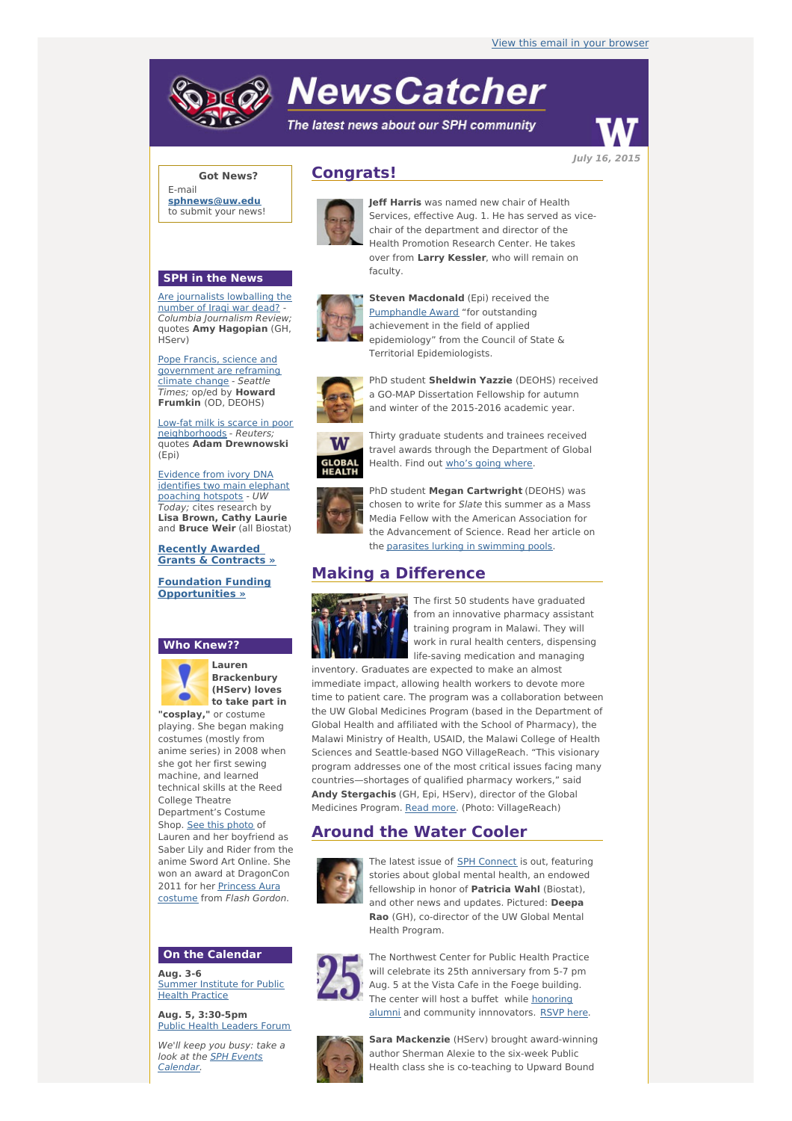# **NewsCatcher**

The latest news about our SPH community



**Got News?**

E-mail **[sphnews@uw.edu](mailto:sphnews@uw.edu)** to submit your news!

#### **SPH in the News**

Are [journalists](http://engage.washington.edu/site/R?i=cU2wN07O901r6wqE_WMvTg) lowballing the number of Iraqi war dead? -Columbia Journalism Review; quotes **Amy Hagopian** (GH, HServ)

Pope Francis, science and [government](http://engage.washington.edu/site/R?i=d22S4riKEV88kbm6NBHo3w) are reframing climate change - Seattle Times; op/ed by **Howard Frumkin** (OD, DEOHS)

Low-fat milk is scarce in poor [neighborhoods](http://engage.washington.edu/site/R?i=Nx62lXhgtDdyaM9zR02SWA) - Reuters; quotes **Adam Drewnowski** (Epi)

Evidence from ivory DNA [identifies](http://engage.washington.edu/site/R?i=oVxDoNMQk0tA60T92id8Dw) two main elephant poaching hotspots - UW Today; cites research by **Lisa Brown, Cathy Laurie** and **Bruce Weir** (all Biostat)

**Recently Awarded Grants & [Contracts](http://engage.washington.edu/site/R?i=ymBp4XnXfe2C6QNXeoXZNw) »**

**Foundation Funding [Opportunities](http://engage.washington.edu/site/R?i=PKP02GkPrSlR65UkPcKYOA) »**

#### **Who Knew??**



**Lauren Brackenbury (HServ) loves to take part in "cosplay,"** or costume

playing. She began making costumes (mostly from anime series) in 2008 when she got her first sewing machine, and learned technical skills at the Reed College Theatre Department's Costume Shop. See this [photo](http://engage.washington.edu/site/R?i=xtS66QKEuBn8D3lwnNTgGQ) of Lauren and her boyfriend as Saber Lily and Rider from the anime Sword Art Online. She won an award at DragonCon 2011 for her [Princess](http://engage.washington.edu/site/R?i=zYJjf4FnUdoIkzu7YzLCMg) Aura costume from Flash Gordon.

#### **On the Calendar**

**Aug. 3-6** [Summer](http://engage.washington.edu/site/R?i=s63A8tPWoeItnogceCN_aQ) Institute for Public Health Practice

**Aug. 5, 3:30-5pm** Public Health [Leaders](http://engage.washington.edu/site/R?i=dHEqc4hadUQ4FyS11_O9VQ) Forum

We'll keep you busy: take a look at the **SPH Events** [Calendar.](http://engage.washington.edu/site/R?i=QQzFTYdbLWGbqhXGxwcXXA)

# **Congrats!**



**Jeff Harris** was named new chair of Health Services, effective Aug. 1. He has served as vicechair of the department and director of the Health Promotion Research Center. He takes over from **Larry Kessler**, who will remain on faculty.



**Steven Macdonald** (Epi) received the [Pumphandle](http://engage.washington.edu/site/R?i=6I-uxYT9XFDrvRrPBgagew) Award "for outstanding achievement in the field of applied epidemiology" from the Council of State & Territorial Epidemiologists.



PhD student **Sheldwin Yazzie** (DEOHS) received a GO-MAP Dissertation Fellowship for autumn and winter of the 2015-2016 academic year.

**GLOBAL<br>HEALTH** 

Thirty graduate students and trainees received travel awards through the Department of Global Health. Find out who's going [where](http://engage.washington.edu/site/R?i=VOuBCkruaOFA2TdUh1_ogQ).



PhD student **Megan Cartwright** (DEOHS) was chosen to write for Slate this summer as a Mass Media Fellow with the American Association for the Advancement of Science. Read her article on the parasites lurking in [swimming](http://engage.washington.edu/site/R?i=bMDNhcE2TIgRbzTKDt3lBA) pools.

# **Making a Difference**



The first 50 students have graduated from an innovative pharmacy assistant training program in Malawi. They will work in rural health centers, dispensing life-saving medication and managing

inventory. Graduates are expected to make an almost immediate impact, allowing health workers to devote more time to patient care. The program was a collaboration between the UW Global Medicines Program (based in the Department of Global Health and affiliated with the School of Pharmacy), the Malawi Ministry of Health, USAID, the Malawi College of Health Sciences and Seattle-based NGO VillageReach. "This visionary program addresses one of the most critical issues facing many countries—shortages of qualified pharmacy workers," said **Andy Stergachis** (GH, Epi, HServ), director of the Global Medicines Program. Read [more](http://engage.washington.edu/site/R?i=J_zIT9JbTOVhGrQCj4RTuw). (Photo: VillageReach)

# **Around the Water Cooler**



The latest issue of **SPH [Connect](http://engage.washington.edu/site/R?i=TctpPNts4Pl14IjGvemm-w)** is out, featuring stories about global mental health, an endowed fellowship in honor of **Patricia Wahl** (Biostat), and other news and updates. Pictured: **Deepa Rao** (GH), co-director of the UW Global Mental Health Program.



The Northwest Center for Public Health Practice will celebrate its 25th anniversary from 5-7 pm Aug. 5 at the Vista Cafe in the Foege building. The center will host a buffet while honoring alumni and community [innnovators.](http://engage.washington.edu/site/R?i=wJPid08LAD33hZkSYu18JA) [RSVP](http://engage.washington.edu/site/R?i=Mg7qMioMkQ8RYDDbmfMKWA) here.



**Sara Mackenzie** (HServ) brought award-winning author Sherman Alexie to the six-week Public Health class she is co-teaching to Upward Bound